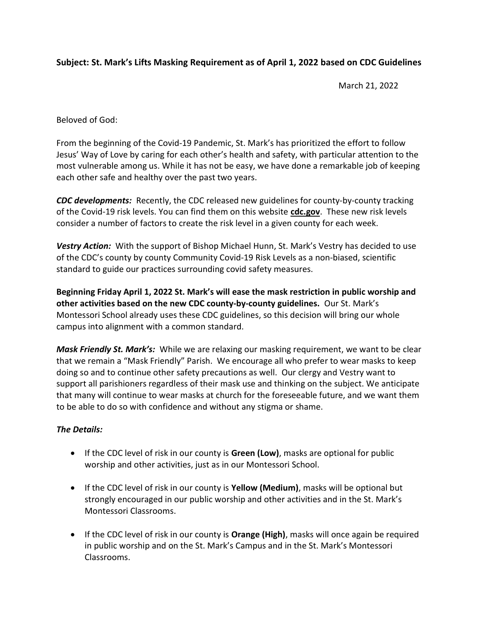## Subject: St. Mark's Lifts Masking Requirement as of April 1, 2022 based on CDC Guidelines

March 21, 2022

Beloved of God:

From the beginning of the Covid-19 Pandemic, St. Mark's has prioritized the effort to follow Jesus' Way of Love by caring for each other's health and safety, with particular attention to the most vulnerable among us. While it has not be easy, we have done a remarkable job of keeping each other safe and healthy over the past two years.

CDC developments: Recently, the CDC released new guidelines for county-by-county tracking of the Covid-19 risk levels. You can find them on this website cdc.gov. These new risk levels consider a number of factors to create the risk level in a given county for each week.

Vestry Action: With the support of Bishop Michael Hunn, St. Mark's Vestry has decided to use of the CDC's county by county Community Covid-19 Risk Levels as a non-biased, scientific standard to guide our practices surrounding covid safety measures.

Beginning Friday April 1, 2022 St. Mark's will ease the mask restriction in public worship and other activities based on the new CDC county-by-county guidelines. Our St. Mark's Montessori School already uses these CDC guidelines, so this decision will bring our whole campus into alignment with a common standard.

Mask Friendly St. Mark's: While we are relaxing our masking requirement, we want to be clear that we remain a "Mask Friendly" Parish. We encourage all who prefer to wear masks to keep doing so and to continue other safety precautions as well. Our clergy and Vestry want to support all parishioners regardless of their mask use and thinking on the subject. We anticipate that many will continue to wear masks at church for the foreseeable future, and we want them to be able to do so with confidence and without any stigma or shame.

## The Details:

- **If the CDC level of risk in our county is Green (Low)**, masks are optional for public worship and other activities, just as in our Montessori School.
- $\bullet$  If the CDC level of risk in our county is **Yellow (Medium)**, masks will be optional but strongly encouraged in our public worship and other activities and in the St. Mark's Montessori Classrooms.
- $\bullet$  If the CDC level of risk in our county is **Orange (High)**, masks will once again be required in public worship and on the St. Mark's Campus and in the St. Mark's Montessori Classrooms.